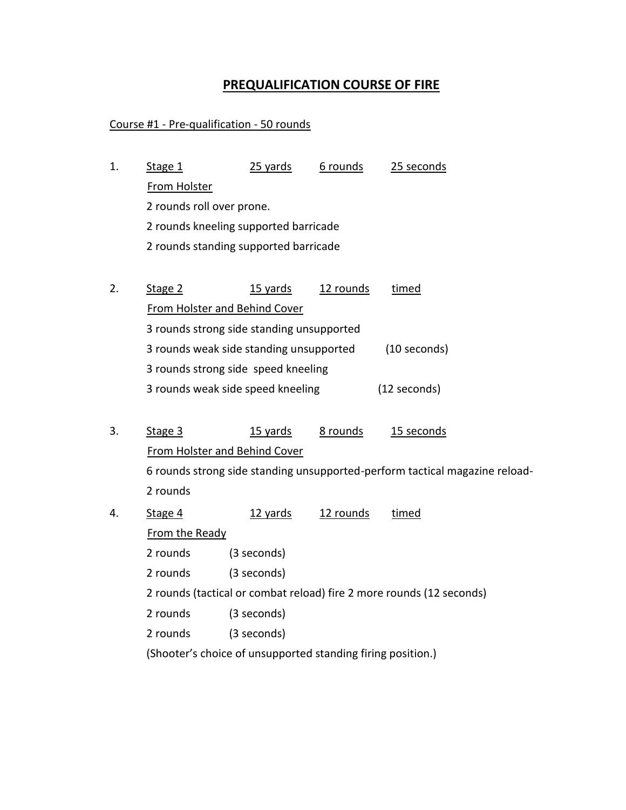## **PREQUALIFICATION COURSE OF FIRE**

## Course #1 - Pre-qualification - 50 rounds

- Stage 1 2 rounds standing supported barricade 2 rounds kneeling supported barricade 2 rounds roll over prone. From Holster 1. Stage 1 25 yards 6 rounds 25 seconds
- Stage 2 3 rounds weak side speed kneeling (12 seconds) 3 rounds strong side speed kneeling 3 rounds weak side standing unsupported (10 seconds) 3 rounds strong side standing unsupported From Holster and Behind Cover 2. Stage 2 15 yards 12 rounds timed
- Stage 3 From Holster and Behind Cover 2 rounds 6 rounds strong side standing unsupported-perform tactical magazine reload-3. Stage 3 15 yards 8 rounds 15 seconds
- Stage 4 2 rounds (3 seconds) 2 rounds (3 seconds) 2 rounds (tactical or combat reload) fire 2 more rounds (12 seconds) 2 rounds (3 seconds) 2 rounds (3 seconds) From the Ready 4. Stage 4 12 yards 12 rounds timed

(Shooter's choice of unsupported standing firing position.)